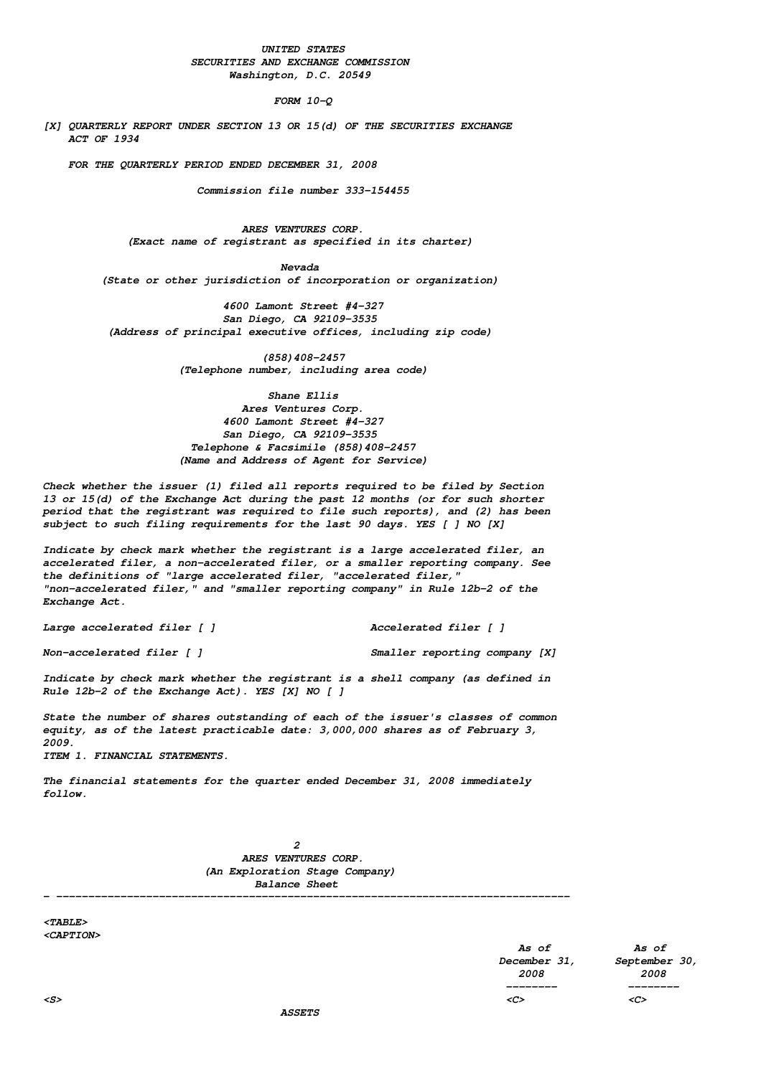# **UNITED STATES SECURITIES AND EXCHANGE COMMISSION Washington, D.C. 20549**

### **FORM 10-Q**

**[X] QUARTERLY REPORT UNDER SECTION 13 OR 15(d) OF THE SECURITIES EXCHANGE ACT OF 1934**

**FOR THE QUARTERLY PERIOD ENDED DECEMBER 31, 2008**

**Commission file number 333-154455**

**ARES VENTURES CORP. (Exact name of registrant as specified in its charter)**

**Nevada (State or other jurisdiction of incorporation or organization)**

**4600 Lamont Street #4-327 San Diego, CA 92109-3535 (Address of principal executive offices, including zip code)**

> **(858)408-2457 (Telephone number, including area code)**

**Shane Ellis Ares Ventures Corp. 4600 Lamont Street #4-327 San Diego, CA 92109-3535 Telephone & Facsimile (858)408-2457 (Name and Address of Agent for Service)**

**Check whether the issuer (1) filed all reports required to be filed by Section 13 or 15(d) of the Exchange Act during the past 12 months (or for such shorter period that the registrant was required to file such reports), and (2) has been subject to such filing requirements for the last 90 days. YES [ ] NO [X]**

**Indicate by check mark whether the registrant is a large accelerated filer, an accelerated filer, a non-accelerated filer, or a smaller reporting company. See the definitions of "large accelerated filer, "accelerated filer," "non-accelerated filer," and "smaller reporting company" in Rule 12b-2 of the Exchange Act.**

**Large accelerated filer [ ] Accelerated filer [ ]**

**Non-accelerated filer [ ] Smaller reporting company [X]**

**Indicate by check mark whether the registrant is a shell company (as defined in Rule 12b-2 of the Exchange Act). YES [X] NO [ ]**

**State the number of shares outstanding of each of the issuer's classes of common equity, as of the latest practicable date: 3,000,000 shares as of February 3, 2009. ITEM 1. FINANCIAL STATEMENTS.**

**The financial statements for the quarter ended December 31, 2008 immediately follow.**

> **2 ARES VENTURES CORP. (An Exploration Stage Company) Balance Sheet**

**<TABLE> <CAPTION>**

**- --------------------------------------------------------------------------------**

**As of As of December 31, September 30, 2008 2008 -------- -------- <S> <C> <C>**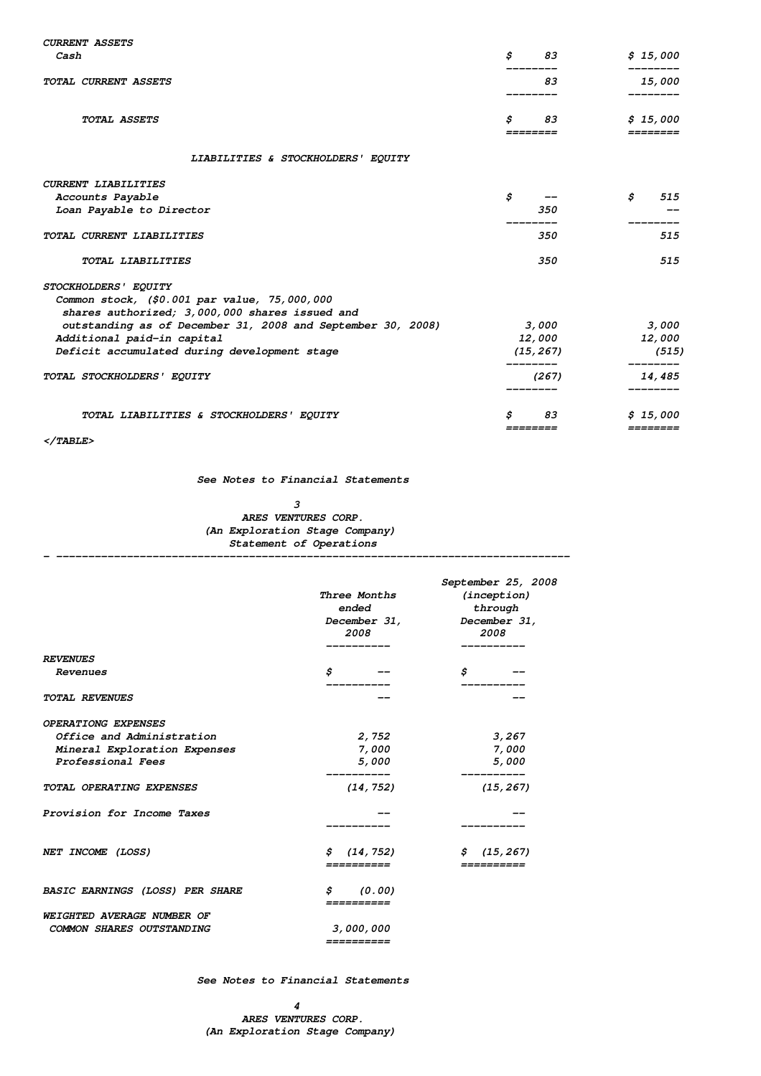| <b>CURRENT ASSETS</b>                                                                                                                                                                                               |                        |                      |
|---------------------------------------------------------------------------------------------------------------------------------------------------------------------------------------------------------------------|------------------------|----------------------|
| Cash                                                                                                                                                                                                                | \$<br>83               | \$15,000             |
| TOTAL CURRENT ASSETS                                                                                                                                                                                                | 83                     | 15,000               |
| TOTAL ASSETS                                                                                                                                                                                                        | \$<br>83<br>========   | \$15,000<br>======== |
| LIABILITIES & STOCKHOLDERS' EQUITY                                                                                                                                                                                  |                        |                      |
| <b>CURRENT LIABILITIES</b>                                                                                                                                                                                          |                        |                      |
| Accounts Payable                                                                                                                                                                                                    | \$                     | \$<br>515            |
| Loan Payable to Director                                                                                                                                                                                            | 350                    |                      |
| TOTAL CURRENT LIABILITIES                                                                                                                                                                                           | 350                    | 515                  |
| TOTAL LIABILITIES                                                                                                                                                                                                   | 350                    | 515                  |
| STOCKHOLDERS' EQUITY<br>Common stock, (\$0.001 par value, 75,000,000<br>shares authorized; 3,000,000 shares issued and<br>outstanding as of December 31, 2008 and September 30, 2008)<br>Additional paid-in capital | 3,000<br><i>12,000</i> | 3,000<br>12,000      |
| Deficit accumulated during development stage                                                                                                                                                                        | (15, 267)              | (515)                |
| TOTAL STOCKHOLDERS' EQUITY                                                                                                                                                                                          | --------<br>(267)      | _______<br>14,485    |
| TOTAL LIABILITIES & STOCKHOLDERS' EQUITY                                                                                                                                                                            | s<br>83<br>========    | \$15,000<br>======== |

**- --------------------------------------------------------------------------------**

**</TABLE>**

**See Notes to Financial Statements**

# **3 ARES VENTURES CORP. (An Exploration Stage Company) Statement of Operations**

|                                        | <i>Three Months</i><br>ended<br>December 31,<br>2008<br>--------- | September 25, 2008<br>(inception)<br>through<br>December 31,<br>2008<br>--------- |
|----------------------------------------|-------------------------------------------------------------------|-----------------------------------------------------------------------------------|
| <b>REVENUES</b>                        |                                                                   |                                                                                   |
| Revenues                               | \$                                                                | \$                                                                                |
| <b>TOTAL REVENUES</b>                  |                                                                   |                                                                                   |
| <b>OPERATIONG EXPENSES</b>             |                                                                   |                                                                                   |
| Office and Administration              | 2,752                                                             | 3,267                                                                             |
| Mineral Exploration Expenses           | 7,000                                                             | 7,000                                                                             |
| Professional Fees                      | <i>5,000</i>                                                      | <i>5,000</i>                                                                      |
| TOTAL OPERATING EXPENSES               | ----------<br>(14, 752)                                           | _________<br>(15, 267)                                                            |
| Provision for Income Taxes             |                                                                   |                                                                                   |
|                                        |                                                                   |                                                                                   |
| NET INCOME (LOSS)                      | \$(14, 752)<br>==========                                         | \$(15, 267)                                                                       |
| <b>BASIC EARNINGS (LOSS) PER SHARE</b> | \$(0.00)<br>==========                                            |                                                                                   |
| WEIGHTED AVERAGE NUMBER OF             |                                                                   |                                                                                   |
| COMMON SHARES OUTSTANDING              | 3,000,000<br>==========                                           |                                                                                   |

**See Notes to Financial Statements**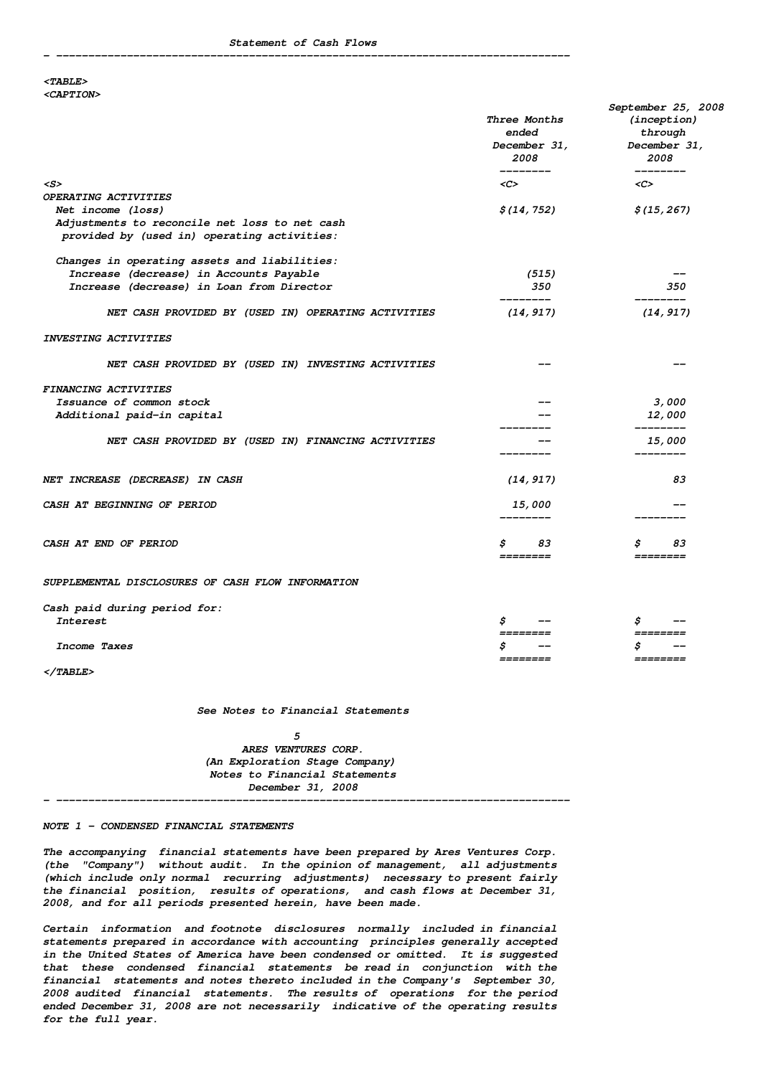#### **<TABLE> <CAPTION>**

|                                                                                              | Three Months<br>ended<br><i>December 31,</i><br>2008<br>______ | September 25, 2008<br>(inception)<br>through<br>December 31,<br>2008 |
|----------------------------------------------------------------------------------------------|----------------------------------------------------------------|----------------------------------------------------------------------|
| $\langle S \rangle$                                                                          | <c></c>                                                        | ________<br>$<$ C>                                                   |
| OPERATING ACTIVITIES                                                                         |                                                                |                                                                      |
| Net income (loss)                                                                            | \$(14, 752)                                                    | \$(15, 267)                                                          |
| Adjustments to reconcile net loss to net cash<br>provided by (used in) operating activities: |                                                                |                                                                      |
| Changes in operating assets and liabilities:                                                 |                                                                |                                                                      |
| Increase (decrease) in Accounts Payable                                                      | (515)                                                          |                                                                      |
| Increase (decrease) in Loan from Director                                                    | 350                                                            | 350                                                                  |
| NET CASH PROVIDED BY (USED IN) OPERATING ACTIVITIES                                          | (14, 917)                                                      | (14, 917)                                                            |
| INVESTING ACTIVITIES                                                                         |                                                                |                                                                      |
| NET CASH PROVIDED BY (USED IN) INVESTING ACTIVITIES                                          |                                                                |                                                                      |
| <b>FINANCING ACTIVITIES</b>                                                                  |                                                                |                                                                      |
| Issuance of common stock                                                                     |                                                                | 3,000                                                                |
| Additional paid-in capital                                                                   |                                                                | <i><b>12,000</b></i>                                                 |
| NET CASH PROVIDED BY (USED IN) FINANCING ACTIVITIES                                          |                                                                | ________<br><i><b>15,000</b></i>                                     |
|                                                                                              |                                                                |                                                                      |
| NET INCREASE (DECREASE) IN CASH                                                              | (14, 917)                                                      | 83                                                                   |
| CASH AT BEGINNING OF PERIOD                                                                  | <i><b>15,000</b></i>                                           |                                                                      |
|                                                                                              |                                                                |                                                                      |
| CASH AT END OF PERIOD                                                                        | 83<br>\$                                                       | 83<br>Ş                                                              |
|                                                                                              | ========                                                       | ========                                                             |
| SUPPLEMENTAL DISCLOSURES OF CASH FLOW INFORMATION                                            |                                                                |                                                                      |
| Cash paid during period for:                                                                 |                                                                |                                                                      |
| Interest                                                                                     | \$                                                             | \$                                                                   |
|                                                                                              | ========                                                       | $==$                                                                 |
| Income Taxes                                                                                 | ========                                                       | S<br>========                                                        |
| $\langle$ /TABLE>                                                                            |                                                                |                                                                      |

**See Notes to Financial Statements**

**5 ARES VENTURES CORP. (An Exploration Stage Company) Notes to Financial Statements December 31, 2008**

**- --------------------------------------------------------------------------------**

#### **NOTE 1 - CONDENSED FINANCIAL STATEMENTS**

**The accompanying financial statements have been prepared by Ares Ventures Corp. (the "Company") without audit. In the opinion of management, all adjustments (which include only normal recurring adjustments) necessary to present fairly the financial position, results of operations, and cash flows at December 31, 2008, and for all periods presented herein, have been made.**

**Certain information and footnote disclosures normally included in financial statements prepared in accordance with accounting principles generally accepted in the United States of America have been condensed or omitted. It is suggested that these condensed financial statements be read in conjunction with the financial statements and notes thereto included in the Company's September 30, 2008 audited financial statements. The results of operations for the period ended December 31, 2008 are not necessarily indicative of the operating results for the full year.**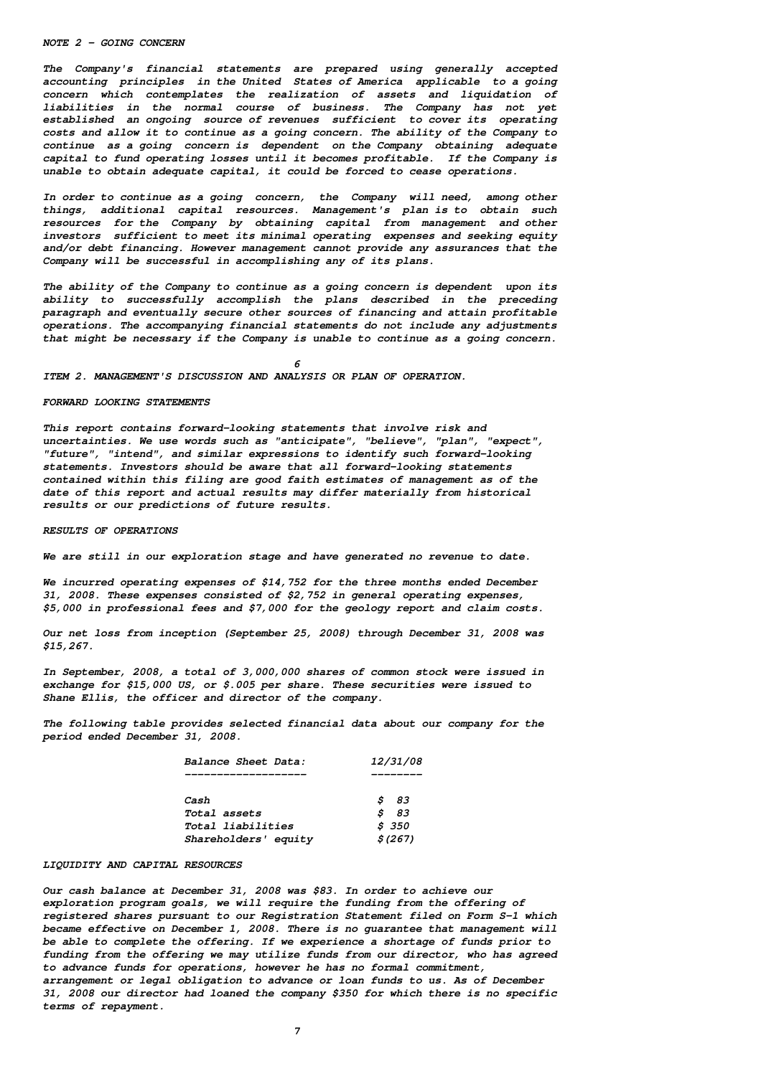#### **NOTE 2 - GOING CONCERN**

**The Company's financial statements are prepared using generally accepted accounting principles in the United States of America applicable to a going concern which contemplates the realization of assets and liquidation of liabilities in the normal course of business. The Company has not yet established an ongoing source of revenues sufficient to cover its operating costs and allow it to continue as a going concern. The ability of the Company to continue as a going concern is dependent on the Company obtaining adequate capital to fund operating losses until it becomes profitable. If the Company is unable to obtain adequate capital, it could be forced to cease operations.**

**In order to continue as a going concern, the Company will need, among other things, additional capital resources. Management's plan is to obtain such resources for the Company by obtaining capital from management and other investors sufficient to meet its minimal operating expenses and seeking equity and/or debt financing. However management cannot provide any assurances that the Company will be successful in accomplishing any of its plans.**

**The ability of the Company to continue as a going concern is dependent upon its ability to successfully accomplish the plans described in the preceding paragraph and eventually secure other sources of financing and attain profitable operations. The accompanying financial statements do not include any adjustments that might be necessary if the Company is unable to continue as a going concern.**

**6**

**ITEM 2. MANAGEMENT'S DISCUSSION AND ANALYSIS OR PLAN OF OPERATION.**

### **FORWARD LOOKING STATEMENTS**

**This report contains forward-looking statements that involve risk and uncertainties. We use words such as "anticipate", "believe", "plan", "expect", "future", "intend", and similar expressions to identify such forward-looking statements. Investors should be aware that all forward-looking statements contained within this filing are good faith estimates of management as of the date of this report and actual results may differ materially from historical results or our predictions of future results.**

**RESULTS OF OPERATIONS**

**We are still in our exploration stage and have generated no revenue to date.**

**We incurred operating expenses of \$14,752 for the three months ended December 31, 2008. These expenses consisted of \$2,752 in general operating expenses, \$5,000 in professional fees and \$7,000 for the geology report and claim costs.**

**Our net loss from inception (September 25, 2008) through December 31, 2008 was \$15,267.**

**In September, 2008, a total of 3,000,000 shares of common stock were issued in exchange for \$15,000 US, or \$.005 per share. These securities were issued to Shane Ellis, the officer and director of the company.**

**The following table provides selected financial data about our company for the period ended December 31, 2008.**

| Balance Sheet Data:  | 12/31/08 |
|----------------------|----------|
|                      |          |
| Cash                 | S<br>83  |
| <i>Total assets</i>  | Ŝ<br>83  |
| Total liabilities    | \$350    |
| Shareholders' equity | \$ (267) |

# **LIQUIDITY AND CAPITAL RESOURCES**

**Our cash balance at December 31, 2008 was \$83. In order to achieve our exploration program goals, we will require the funding from the offering of registered shares pursuant to our Registration Statement filed on Form S-1 which became effective on December 1, 2008. There is no guarantee that management will be able to complete the offering. If we experience a shortage of funds prior to funding from the offering we may utilize funds from our director, who has agreed to advance funds for operations, however he has no formal commitment, arrangement or legal obligation to advance or loan funds to us. As of December 31, 2008 our director had loaned the company \$350 for which there is no specific terms of repayment.**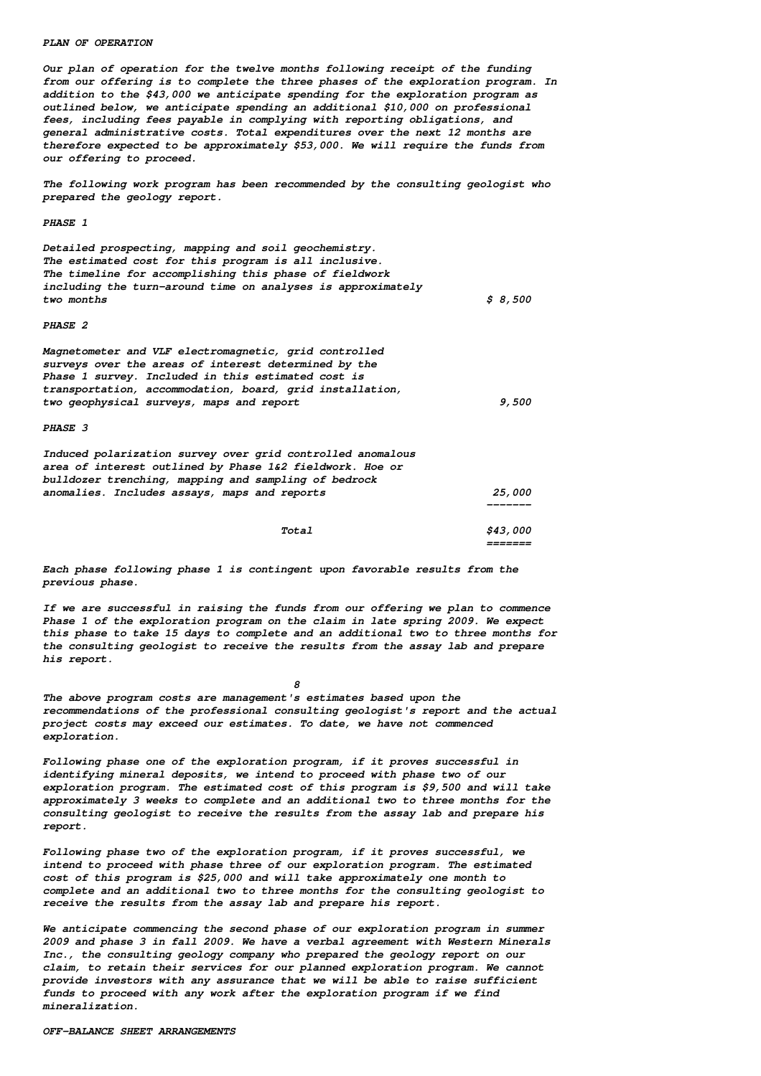### **PLAN OF OPERATION**

**Our plan of operation for the twelve months following receipt of the funding from our offering is to complete the three phases of the exploration program. In addition to the \$43,000 we anticipate spending for the exploration program as outlined below, we anticipate spending an additional \$10,000 on professional fees, including fees payable in complying with reporting obligations, and general administrative costs. Total expenditures over the next 12 months are therefore expected to be approximately \$53,000. We will require the funds from our offering to proceed.**

**The following work program has been recommended by the consulting geologist who prepared the geology report.**

**PHASE 1**

**Detailed prospecting, mapping and soil geochemistry. The estimated cost for this program is all inclusive. The timeline for accomplishing this phase of fieldwork including the turn-around time on analyses is approximately two months \$ 8,500**

#### **PHASE 2**

| Magnetometer and VLF electromagnetic, grid controlled<br>surveys over the areas of interest determined by the<br>Phase 1 survey. Included in this estimated cost is<br>transportation, accommodation, board, grid installation,<br>two geophysical surveys, maps and report |       | 9,500                  |
|-----------------------------------------------------------------------------------------------------------------------------------------------------------------------------------------------------------------------------------------------------------------------------|-------|------------------------|
| <b>PHASE 3</b>                                                                                                                                                                                                                                                              |       |                        |
| Induced polarization survey over grid controlled anomalous<br>area of interest outlined by Phase 1&2 fieldwork. Hoe or<br>bulldozer trenching, mapping and sampling of bedrock<br>anomalies. Includes assays, maps and reports                                              |       | <i><b>25,000</b></i>   |
|                                                                                                                                                                                                                                                                             |       |                        |
|                                                                                                                                                                                                                                                                             | Total | <i><b>\$43,000</b></i> |

**Each phase following phase 1 is contingent upon favorable results from the previous phase.**

**If we are successful in raising the funds from our offering we plan to commence Phase 1 of the exploration program on the claim in late spring 2009. We expect this phase to take 15 days to complete and an additional two to three months for the consulting geologist to receive the results from the assay lab and prepare his report.**

**=======**

**The above program costs are management's estimates based upon the recommendations of the professional consulting geologist's report and the actual project costs may exceed our estimates. To date, we have not commenced exploration.**

**8**

**Following phase one of the exploration program, if it proves successful in identifying mineral deposits, we intend to proceed with phase two of our exploration program. The estimated cost of this program is \$9,500 and will take approximately 3 weeks to complete and an additional two to three months for the consulting geologist to receive the results from the assay lab and prepare his report.**

**Following phase two of the exploration program, if it proves successful, we intend to proceed with phase three of our exploration program. The estimated cost of this program is \$25,000 and will take approximately one month to complete and an additional two to three months for the consulting geologist to receive the results from the assay lab and prepare his report.**

**We anticipate commencing the second phase of our exploration program in summer 2009 and phase 3 in fall 2009. We have a verbal agreement with Western Minerals Inc., the consulting geology company who prepared the geology report on our claim, to retain their services for our planned exploration program. We cannot provide investors with any assurance that we will be able to raise sufficient funds to proceed with any work after the exploration program if we find mineralization.**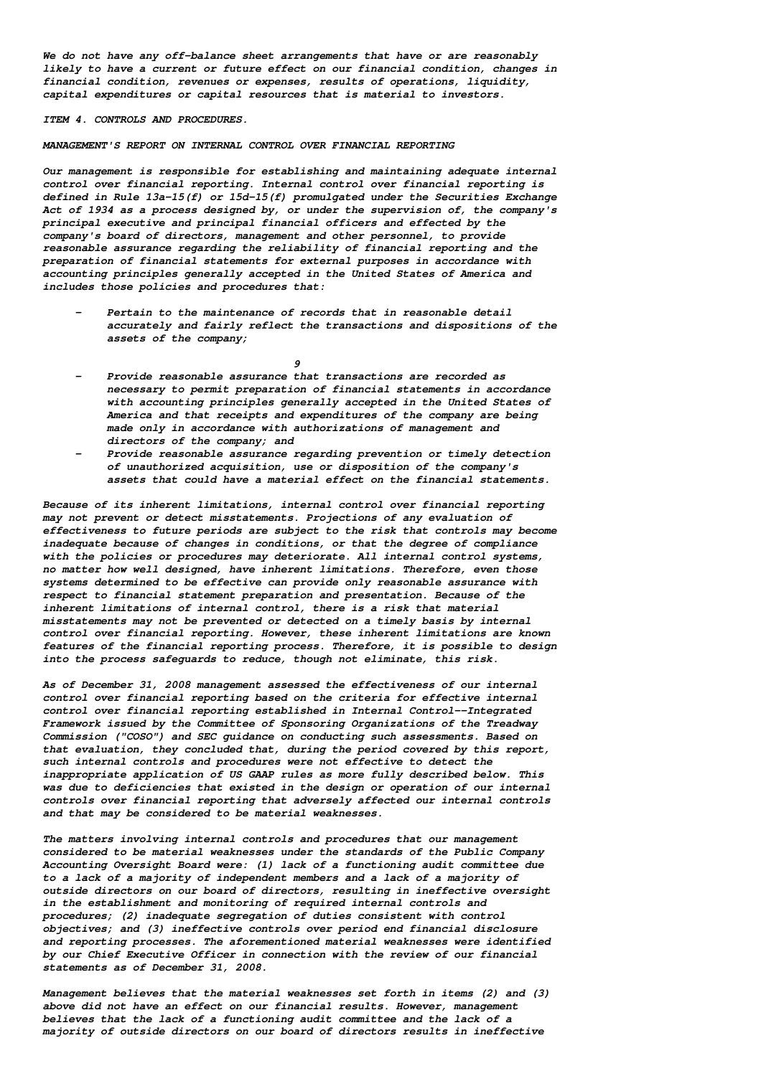**We do not have any off-balance sheet arrangements that have or are reasonably likely to have a current or future effect on our financial condition, changes in financial condition, revenues or expenses, results of operations, liquidity, capital expenditures or capital resources that is material to investors.**

### **ITEM 4. CONTROLS AND PROCEDURES.**

### **MANAGEMENT'S REPORT ON INTERNAL CONTROL OVER FINANCIAL REPORTING**

**Our management is responsible for establishing and maintaining adequate internal control over financial reporting. Internal control over financial reporting is defined in Rule 13a-15(f) or 15d-15(f) promulgated under the Securities Exchange Act of 1934 as a process designed by, or under the supervision of, the company's principal executive and principal financial officers and effected by the company's board of directors, management and other personnel, to provide reasonable assurance regarding the reliability of financial reporting and the preparation of financial statements for external purposes in accordance with accounting principles generally accepted in the United States of America and includes those policies and procedures that:**

**- Pertain to the maintenance of records that in reasonable detail accurately and fairly reflect the transactions and dispositions of the assets of the company;**

**9**

- **- Provide reasonable assurance that transactions are recorded as necessary to permit preparation of financial statements in accordance with accounting principles generally accepted in the United States of America and that receipts and expenditures of the company are being made only in accordance with authorizations of management and directors of the company; and**
- **- Provide reasonable assurance regarding prevention or timely detection of unauthorized acquisition, use or disposition of the company's assets that could have a material effect on the financial statements.**

**Because of its inherent limitations, internal control over financial reporting may not prevent or detect misstatements. Projections of any evaluation of effectiveness to future periods are subject to the risk that controls may become inadequate because of changes in conditions, or that the degree of compliance with the policies or procedures may deteriorate. All internal control systems, no matter how well designed, have inherent limitations. Therefore, even those systems determined to be effective can provide only reasonable assurance with respect to financial statement preparation and presentation. Because of the inherent limitations of internal control, there is a risk that material misstatements may not be prevented or detected on a timely basis by internal control over financial reporting. However, these inherent limitations are known features of the financial reporting process. Therefore, it is possible to design into the process safeguards to reduce, though not eliminate, this risk.**

**As of December 31, 2008 management assessed the effectiveness of our internal control over financial reporting based on the criteria for effective internal control over financial reporting established in Internal Control--Integrated Framework issued by the Committee of Sponsoring Organizations of the Treadway Commission ("COSO") and SEC guidance on conducting such assessments. Based on that evaluation, they concluded that, during the period covered by this report, such internal controls and procedures were not effective to detect the inappropriate application of US GAAP rules as more fully described below. This was due to deficiencies that existed in the design or operation of our internal controls over financial reporting that adversely affected our internal controls and that may be considered to be material weaknesses.**

**The matters involving internal controls and procedures that our management considered to be material weaknesses under the standards of the Public Company Accounting Oversight Board were: (1) lack of a functioning audit committee due to a lack of a majority of independent members and a lack of a majority of outside directors on our board of directors, resulting in ineffective oversight in the establishment and monitoring of required internal controls and procedures; (2) inadequate segregation of duties consistent with control objectives; and (3) ineffective controls over period end financial disclosure and reporting processes. The aforementioned material weaknesses were identified by our Chief Executive Officer in connection with the review of our financial statements as of December 31, 2008.**

**Management believes that the material weaknesses set forth in items (2) and (3) above did not have an effect on our financial results. However, management believes that the lack of a functioning audit committee and the lack of a majority of outside directors on our board of directors results in ineffective**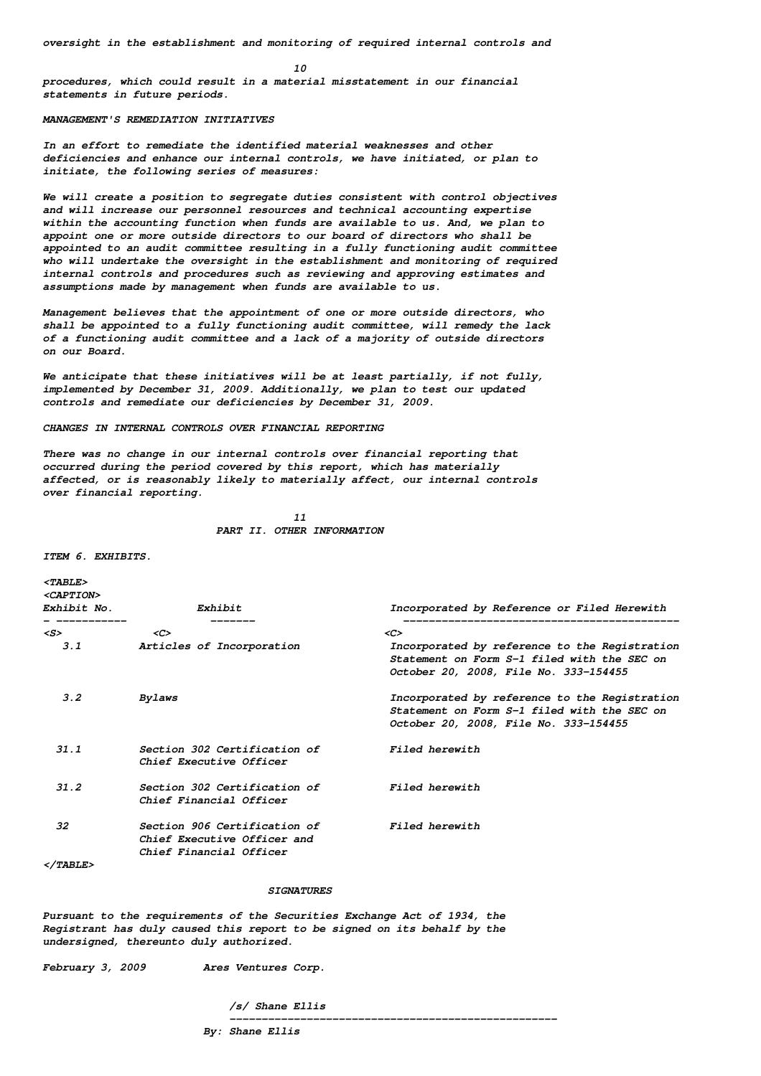**10**

**procedures, which could result in a material misstatement in our financial statements in future periods.**

### **MANAGEMENT'S REMEDIATION INITIATIVES**

**In an effort to remediate the identified material weaknesses and other deficiencies and enhance our internal controls, we have initiated, or plan to initiate, the following series of measures:**

**We will create a position to segregate duties consistent with control objectives and will increase our personnel resources and technical accounting expertise within the accounting function when funds are available to us. And, we plan to appoint one or more outside directors to our board of directors who shall be appointed to an audit committee resulting in a fully functioning audit committee who will undertake the oversight in the establishment and monitoring of required internal controls and procedures such as reviewing and approving estimates and assumptions made by management when funds are available to us.**

**Management believes that the appointment of one or more outside directors, who shall be appointed to a fully functioning audit committee, will remedy the lack of a functioning audit committee and a lack of a majority of outside directors on our Board.**

**We anticipate that these initiatives will be at least partially, if not fully, implemented by December 31, 2009. Additionally, we plan to test our updated controls and remediate our deficiencies by December 31, 2009.**

## **CHANGES IN INTERNAL CONTROLS OVER FINANCIAL REPORTING**

**There was no change in our internal controls over financial reporting that occurred during the period covered by this report, which has materially affected, or is reasonably likely to materially affect, our internal controls over financial reporting.**

> **11 PART II. OTHER INFORMATION**

**ITEM 6. EXHIBITS.**

**<TABLE> <CAPTION>**

| <b><caption></caption></b><br>Exhibit No. | Exhibit                                                                                | Incorporated by Reference or Filed Herewith                                                                                           |
|-------------------------------------------|----------------------------------------------------------------------------------------|---------------------------------------------------------------------------------------------------------------------------------------|
| <s></s>                                   | $\langle C \rangle$                                                                    | $\langle C \rangle$                                                                                                                   |
| 3.1                                       | Articles of Incorporation                                                              | Incorporated by reference to the Reqistration<br>Statement on Form S-1 filed with the SEC on<br>October 20, 2008, File No. 333-154455 |
| $3.2^{\circ}$                             | Bylaws                                                                                 | Incorporated by reference to the Reqistration<br>Statement on Form S-1 filed with the SEC on<br>October 20, 2008, File No. 333-154455 |
| 31.1                                      | Section 302 Certification of<br>Chief Executive Officer                                | Filed herewith                                                                                                                        |
| 31.2                                      | Section 302 Certification of<br>Chief Financial Officer                                | Filed herewith                                                                                                                        |
| 32                                        | Section 906 Certification of<br>Chief Executive Officer and<br>Chief Financial Officer | Filed herewith                                                                                                                        |
| <i></i>                                   |                                                                                        |                                                                                                                                       |

  |  |**Pursuant to the requirements of the Securities Exchange Act of 1934, the Registrant has duly caused this report to be signed on its behalf by the undersigned, thereunto duly authorized.**

**SIGNATURES**

**February 3, 2009 Ares Ventures Corp.**

**/s/ Shane Ellis**

**---------------------------------------------------**

**By: Shane Ellis**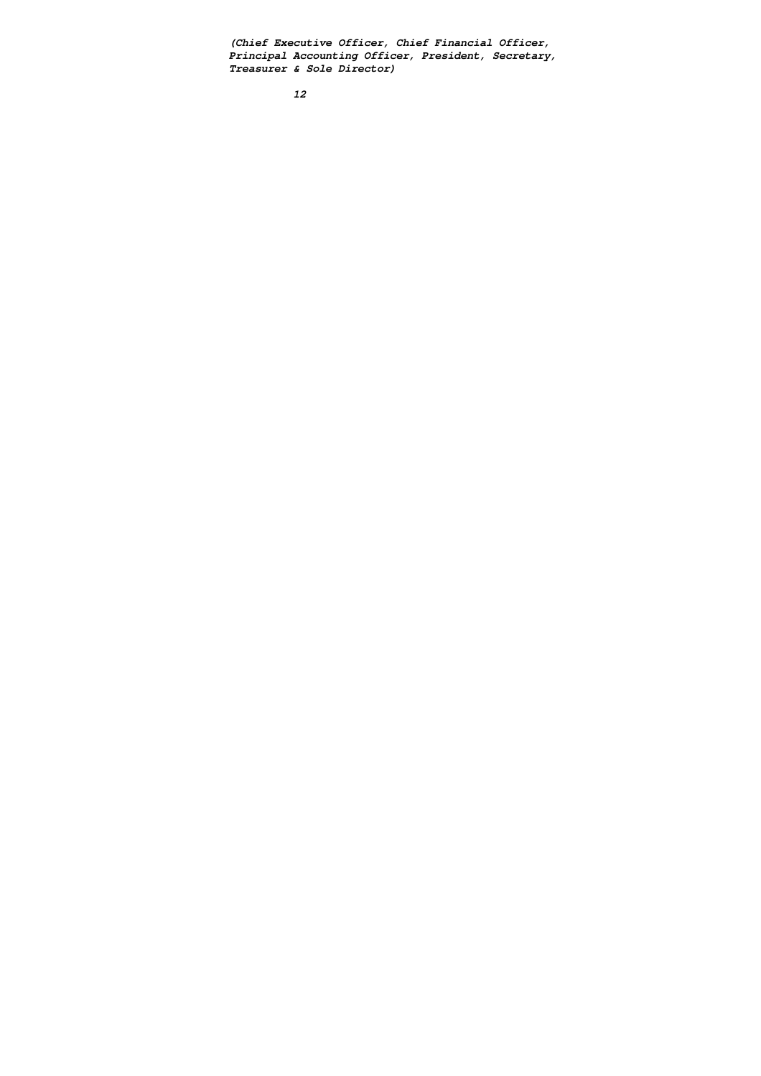**(Chief Executive Officer, Chief Financial Officer, Principal Accounting Officer, President, Secretary, Treasurer & Sole Director)**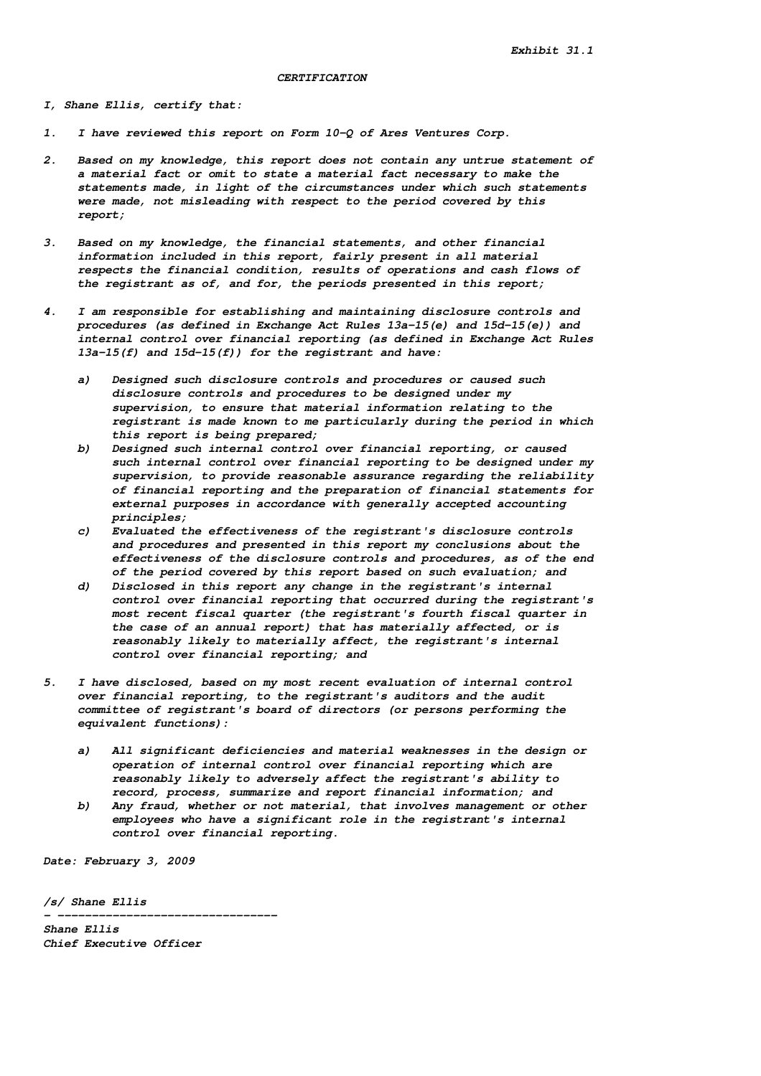# **CERTIFICATION**

**I, Shane Ellis, certify that:**

- **1. I have reviewed this report on Form 10-Q of Ares Ventures Corp.**
- **2. Based on my knowledge, this report does not contain any untrue statement of a material fact or omit to state a material fact necessary to make the statements made, in light of the circumstances under which such statements were made, not misleading with respect to the period covered by this report;**
- **3. Based on my knowledge, the financial statements, and other financial information included in this report, fairly present in all material respects the financial condition, results of operations and cash flows of the registrant as of, and for, the periods presented in this report;**
- **4. I am responsible for establishing and maintaining disclosure controls and procedures (as defined in Exchange Act Rules 13a-15(e) and 15d-15(e)) and internal control over financial reporting (as defined in Exchange Act Rules 13a-15(f) and 15d-15(f)) for the registrant and have:**
	- **a) Designed such disclosure controls and procedures or caused such disclosure controls and procedures to be designed under my supervision, to ensure that material information relating to the registrant is made known to me particularly during the period in which this report is being prepared;**
	- **b) Designed such internal control over financial reporting, or caused such internal control over financial reporting to be designed under my supervision, to provide reasonable assurance regarding the reliability of financial reporting and the preparation of financial statements for external purposes in accordance with generally accepted accounting principles;**
	- **c) Evaluated the effectiveness of the registrant's disclosure controls and procedures and presented in this report my conclusions about the effectiveness of the disclosure controls and procedures, as of the end of the period covered by this report based on such evaluation; and**
	- **d) Disclosed in this report any change in the registrant's internal control over financial reporting that occurred during the registrant's most recent fiscal quarter (the registrant's fourth fiscal quarter in the case of an annual report) that has materially affected, or is reasonably likely to materially affect, the registrant's internal control over financial reporting; and**
- **5. I have disclosed, based on my most recent evaluation of internal control over financial reporting, to the registrant's auditors and the audit committee of registrant's board of directors (or persons performing the equivalent functions):**
	- **a) All significant deficiencies and material weaknesses in the design or operation of internal control over financial reporting which are reasonably likely to adversely affect the registrant's ability to record, process, summarize and report financial information; and**
	- **b) Any fraud, whether or not material, that involves management or other employees who have a significant role in the registrant's internal control over financial reporting.**

**Date: February 3, 2009**

**/s/ Shane Ellis**

**- -------------------------------- Shane Ellis Chief Executive Officer**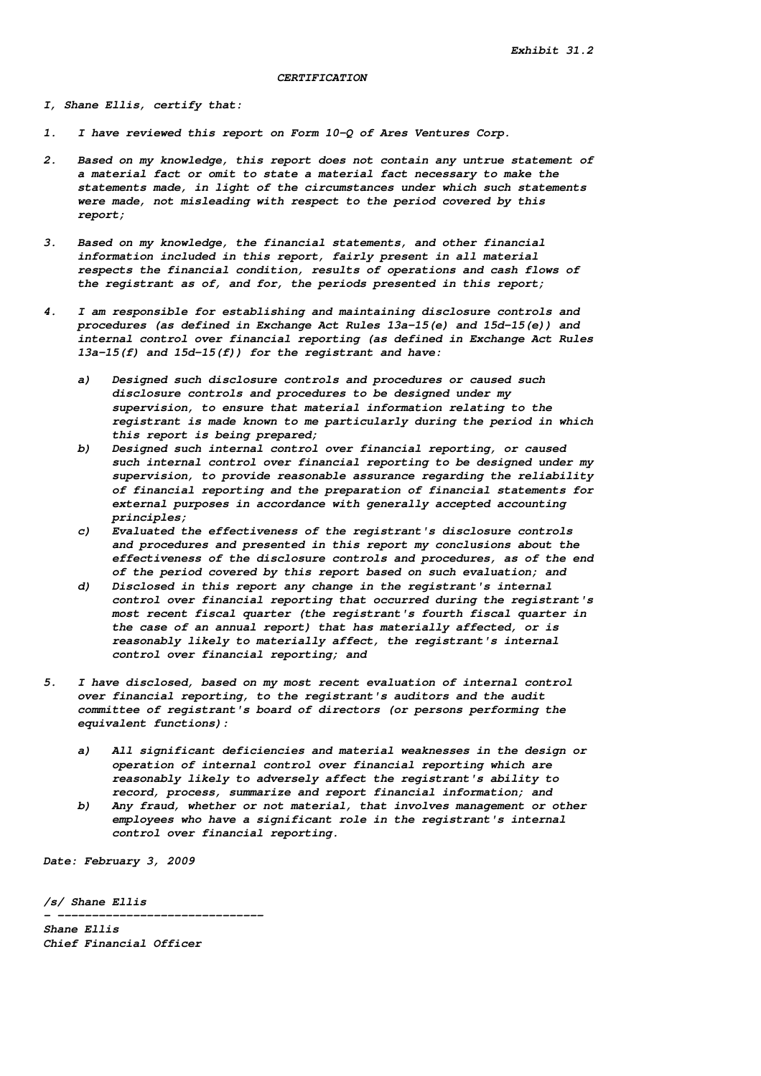### **CERTIFICATION**

**I, Shane Ellis, certify that:**

- **1. I have reviewed this report on Form 10-Q of Ares Ventures Corp.**
- **2. Based on my knowledge, this report does not contain any untrue statement of a material fact or omit to state a material fact necessary to make the statements made, in light of the circumstances under which such statements were made, not misleading with respect to the period covered by this report;**
- **3. Based on my knowledge, the financial statements, and other financial information included in this report, fairly present in all material respects the financial condition, results of operations and cash flows of the registrant as of, and for, the periods presented in this report;**
- **4. I am responsible for establishing and maintaining disclosure controls and procedures (as defined in Exchange Act Rules 13a-15(e) and 15d-15(e)) and internal control over financial reporting (as defined in Exchange Act Rules 13a-15(f) and 15d-15(f)) for the registrant and have:**
	- **a) Designed such disclosure controls and procedures or caused such disclosure controls and procedures to be designed under my supervision, to ensure that material information relating to the registrant is made known to me particularly during the period in which this report is being prepared;**
	- **b) Designed such internal control over financial reporting, or caused such internal control over financial reporting to be designed under my supervision, to provide reasonable assurance regarding the reliability of financial reporting and the preparation of financial statements for external purposes in accordance with generally accepted accounting principles;**
	- **c) Evaluated the effectiveness of the registrant's disclosure controls and procedures and presented in this report my conclusions about the effectiveness of the disclosure controls and procedures, as of the end of the period covered by this report based on such evaluation; and**
	- **d) Disclosed in this report any change in the registrant's internal control over financial reporting that occurred during the registrant's most recent fiscal quarter (the registrant's fourth fiscal quarter in the case of an annual report) that has materially affected, or is reasonably likely to materially affect, the registrant's internal control over financial reporting; and**
- **5. I have disclosed, based on my most recent evaluation of internal control over financial reporting, to the registrant's auditors and the audit committee of registrant's board of directors (or persons performing the equivalent functions):**
	- **a) All significant deficiencies and material weaknesses in the design or operation of internal control over financial reporting which are reasonably likely to adversely affect the registrant's ability to record, process, summarize and report financial information; and b) Any fraud, whether or not material, that involves management or other**
	- **employees who have a significant role in the registrant's internal control over financial reporting.**

**Date: February 3, 2009**

**/s/ Shane Ellis**

**- ------------------------------ Shane Ellis Chief Financial Officer**